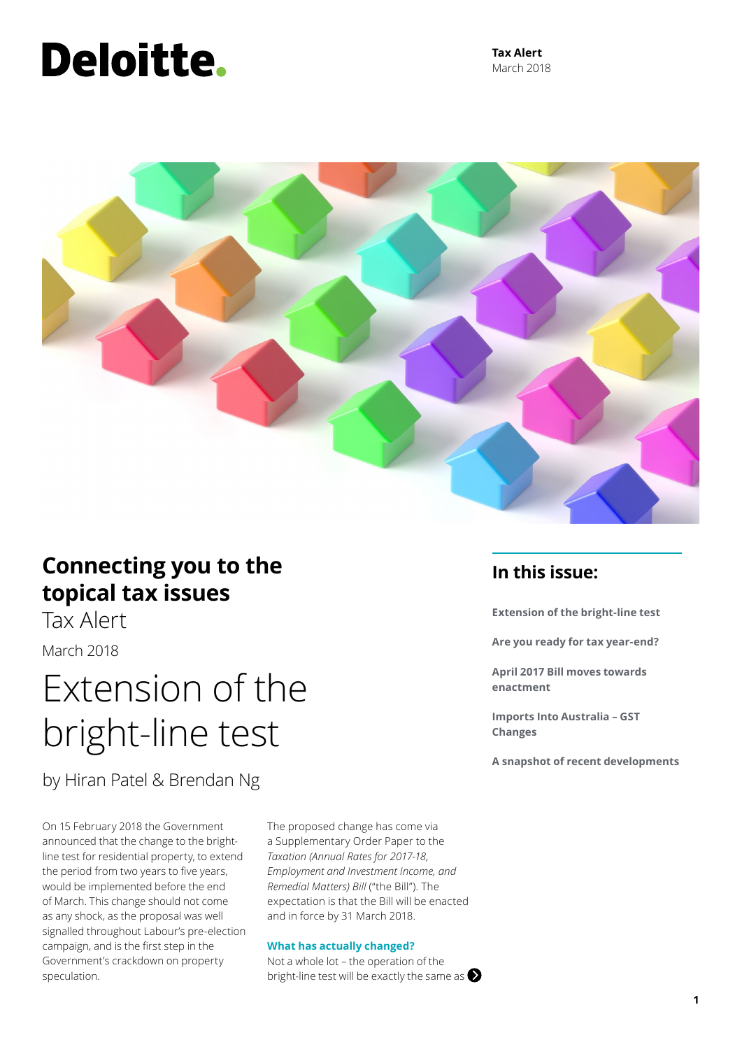# Deloitte.

**Tax Alert** March 2018



### **Connecting you to the topical tax issues**

Tax Alert

March 2018

## Extension of the bright-line test

by Hiran Patel & Brendan Ng

On 15 February 2018 the Government announced that the change to the brightline test for residential property, to extend the period from two years to five years, would be implemented before the end of March. This change should not come as any shock, as the proposal was well signalled throughout Labour's pre-election campaign, and is the first step in the Government's crackdown on property speculation.

The proposed change has come via a Supplementary Order Paper to the *Taxation (Annual Rates for 2017-18, Employment and Investment Income, and Remedial Matters) Bill* ("the Bill"). The expectation is that the Bill will be enacted and in force by 31 March 2018.

### **What has actually changed?**

Not a whole lot – the operation of the bright-line test will be exactly the same as  $\bigotimes$ 

### **In this issue:**

**Extension of the bright-line test**

**Are you ready for tax year-end?**

**April 2017 Bill moves towards enactment**

**Imports Into Australia – GST Changes**

**A snapshot of recent developments**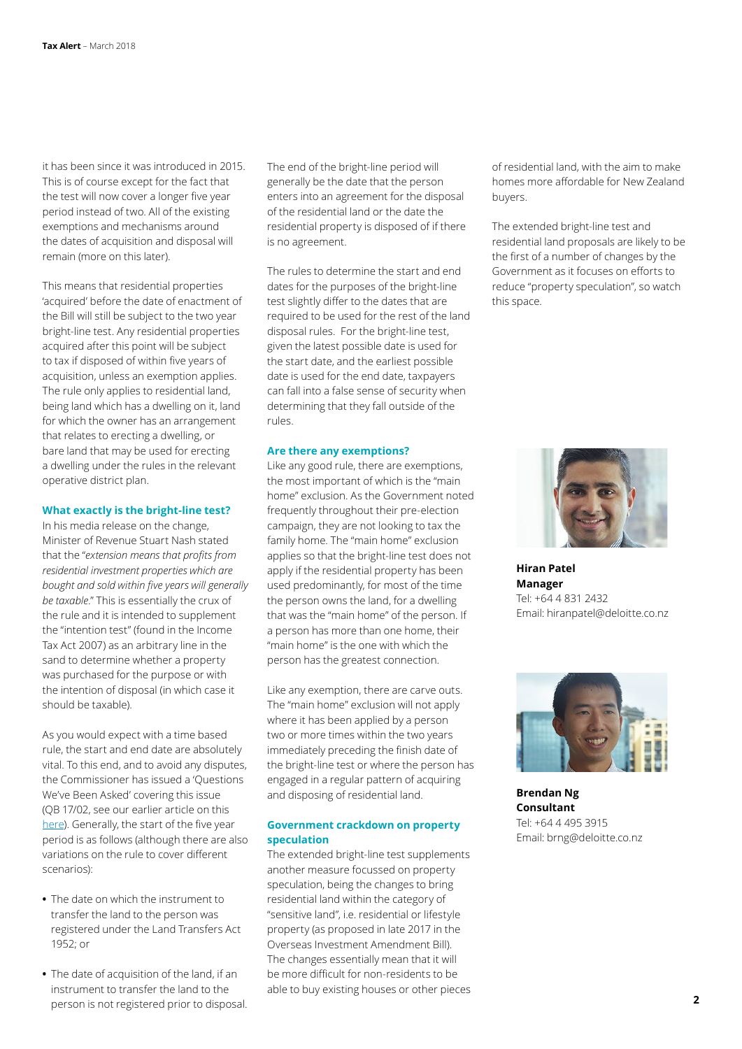it has been since it was introduced in 2015. This is of course except for the fact that the test will now cover a longer five year period instead of two. All of the existing exemptions and mechanisms around the dates of acquisition and disposal will remain (more on this later).

This means that residential properties 'acquired' before the date of enactment of the Bill will still be subject to the two year bright-line test. Any residential properties acquired after this point will be subject to tax if disposed of within five years of acquisition, unless an exemption applies. The rule only applies to residential land, being land which has a dwelling on it, land for which the owner has an arrangement that relates to erecting a dwelling, or bare land that may be used for erecting a dwelling under the rules in the relevant operative district plan.

### **What exactly is the bright-line test?**

In his media release on the change, Minister of Revenue Stuart Nash stated that the "*extension means that profits from residential investment properties which are bought and sold within five years will generally be taxable*." This is essentially the crux of the rule and it is intended to supplement the "intention test" (found in the Income Tax Act 2007) as an arbitrary line in the sand to determine whether a property was purchased for the purpose or with the intention of disposal (in which case it should be taxable).

As you would expect with a time based rule, the start and end date are absolutely vital. To this end, and to avoid any disputes, the Commissioner has issued a 'Questions We've Been Asked' covering this issue (QB 17/02, see our earlier article on this [here](https://www2.deloitte.com/nz/en/pages/tax-alerts/articles/when-did-i-buy-my-land.html)). Generally, the start of the five year period is as follows (although there are also variations on the rule to cover different scenarios):

- **•** The date on which the instrument to transfer the land to the person was registered under the Land Transfers Act 1952; or
- **•** The date of acquisition of the land, if an instrument to transfer the land to the person is not registered prior to disposal.

The end of the bright-line period will generally be the date that the person enters into an agreement for the disposal of the residential land or the date the residential property is disposed of if there is no agreement.

The rules to determine the start and end dates for the purposes of the bright-line test slightly differ to the dates that are required to be used for the rest of the land disposal rules. For the bright-line test, given the latest possible date is used for the start date, and the earliest possible date is used for the end date, taxpayers can fall into a false sense of security when determining that they fall outside of the rules.

#### **Are there any exemptions?**

Like any good rule, there are exemptions, the most important of which is the "main home" exclusion. As the Government noted frequently throughout their pre-election campaign, they are not looking to tax the family home. The "main home" exclusion applies so that the bright-line test does not apply if the residential property has been used predominantly, for most of the time the person owns the land, for a dwelling that was the "main home" of the person. If a person has more than one home, their "main home" is the one with which the person has the greatest connection.

Like any exemption, there are carve outs. The "main home" exclusion will not apply where it has been applied by a person two or more times within the two years immediately preceding the finish date of the bright-line test or where the person has engaged in a regular pattern of acquiring and disposing of residential land.

### **Government crackdown on property speculation**

The extended bright-line test supplements another measure focussed on property speculation, being the changes to bring residential land within the category of "sensitive land", i.e. residential or lifestyle property (as proposed in late 2017 in the Overseas Investment Amendment Bill). The changes essentially mean that it will be more difficult for non-residents to be able to buy existing houses or other pieces of residential land, with the aim to make homes more affordable for New Zealand buyers.

The extended bright-line test and residential land proposals are likely to be the first of a number of changes by the Government as it focuses on efforts to reduce "property speculation", so watch this space.



**Hiran Patel Manager** Tel: +64 4 831 2432 Email: hiranpatel@deloitte.co.nz



**Brendan Ng Consultant** Tel: +64 4 495 3915 Email: brng@deloitte.co.nz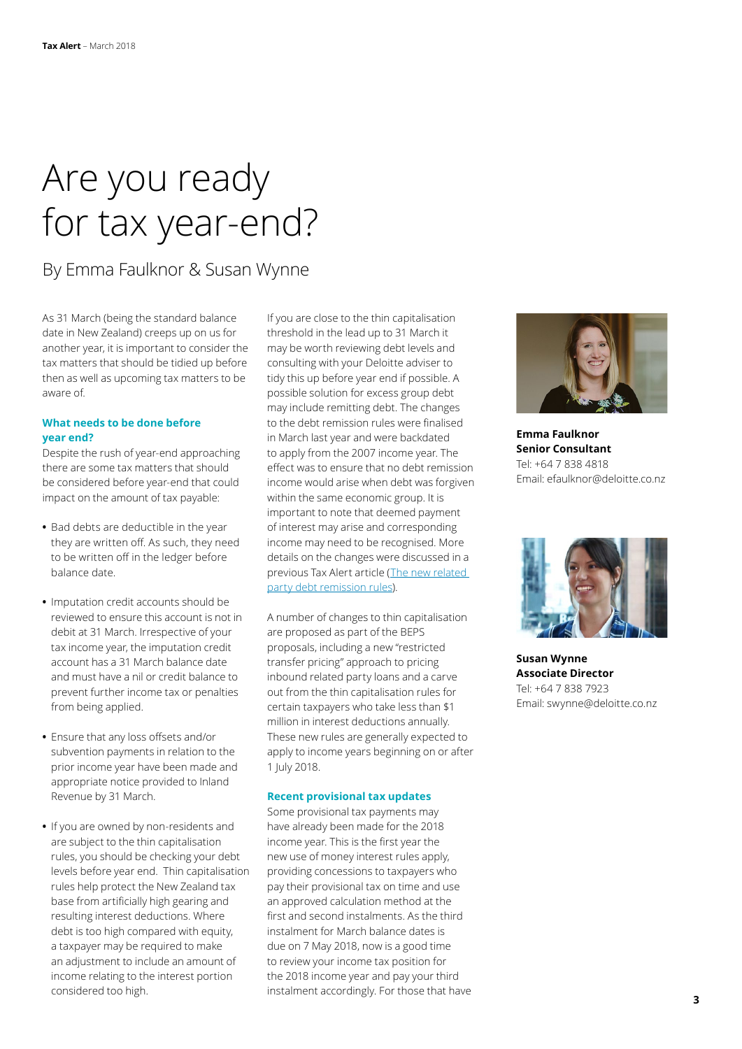## Are you ready for tax year-end?

By Emma Faulknor & Susan Wynne

As 31 March (being the standard balance date in New Zealand) creeps up on us for another year, it is important to consider the tax matters that should be tidied up before then as well as upcoming tax matters to be aware of.

### **What needs to be done before year end?**

Despite the rush of year-end approaching there are some tax matters that should be considered before year-end that could impact on the amount of tax payable:

- **•** Bad debts are deductible in the year they are written off. As such, they need to be written off in the ledger before balance date.
- **•** Imputation credit accounts should be reviewed to ensure this account is not in debit at 31 March. Irrespective of your tax income year, the imputation credit account has a 31 March balance date and must have a nil or credit balance to prevent further income tax or penalties from being applied.
- **•** Ensure that any loss offsets and/or subvention payments in relation to the prior income year have been made and appropriate notice provided to Inland Revenue by 31 March.
- **•** If you are owned by non-residents and are subject to the thin capitalisation rules, you should be checking your debt levels before year end. Thin capitalisation rules help protect the New Zealand tax base from artificially high gearing and resulting interest deductions. Where debt is too high compared with equity, a taxpayer may be required to make an adjustment to include an amount of income relating to the interest portion considered too high.

If you are close to the thin capitalisation threshold in the lead up to 31 March it may be worth reviewing debt levels and consulting with your Deloitte adviser to tidy this up before year end if possible. A possible solution for excess group debt may include remitting debt. The changes to the debt remission rules were finalised in March last year and were backdated to apply from the 2007 income year. The effect was to ensure that no debt remission income would arise when debt was forgiven within the same economic group. It is important to note that deemed payment of interest may arise and corresponding income may need to be recognised. More details on the changes were discussed in a previous Tax Alert article ([The new related](https://www2.deloitte.com/nz/en/pages/tax-alerts/articles/new-related-party-debt-remission-rules.html)  [party debt remission rules\)](https://www2.deloitte.com/nz/en/pages/tax-alerts/articles/new-related-party-debt-remission-rules.html).

A number of changes to thin capitalisation are proposed as part of the BEPS proposals, including a new "restricted transfer pricing" approach to pricing inbound related party loans and a carve out from the thin capitalisation rules for certain taxpayers who take less than \$1 million in interest deductions annually. These new rules are generally expected to apply to income years beginning on or after 1 July 2018.

### **Recent provisional tax updates**

Some provisional tax payments may have already been made for the 2018 income year. This is the first year the new use of money interest rules apply, providing concessions to taxpayers who pay their provisional tax on time and use an approved calculation method at the first and second instalments. As the third instalment for March balance dates is due on 7 May 2018, now is a good time to review your income tax position for the 2018 income year and pay your third instalment accordingly. For those that have



**Emma Faulknor Senior Consultant** Tel: +64 7 838 4818 Email: efaulknor@deloitte.co.nz



**Susan Wynne Associate Director** Tel: +64 7 838 7923 Email: swynne@deloitte.co.nz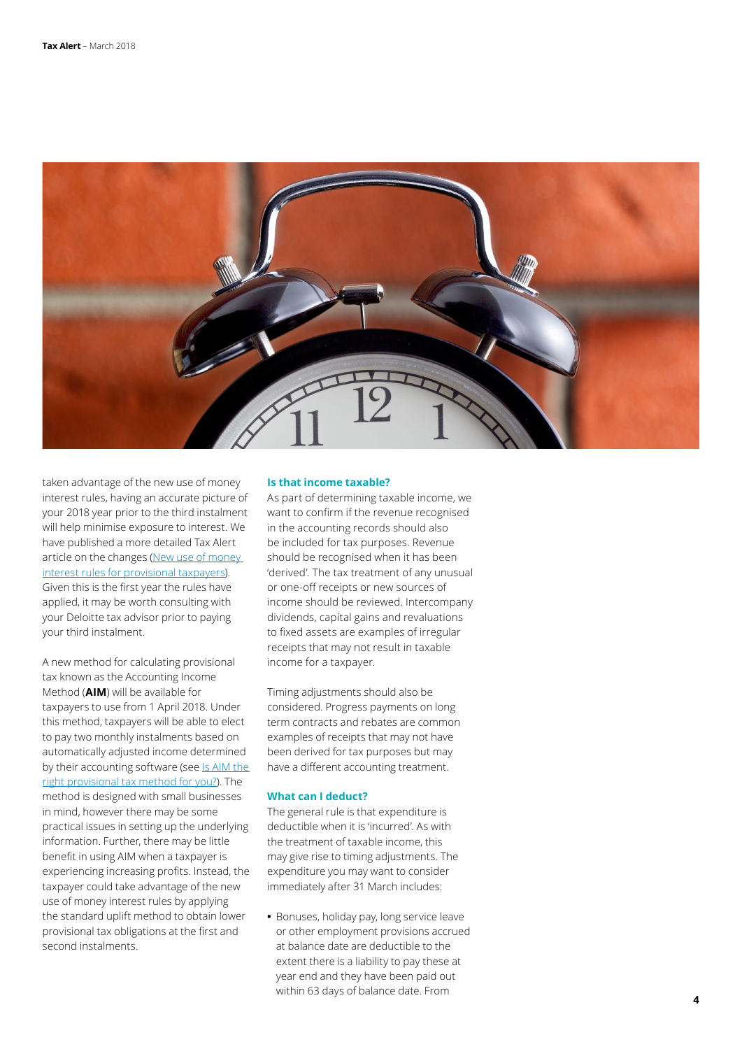

taken advantage of the new use of money interest rules, having an accurate picture of your 2018 year prior to the third instalment will help minimise exposure to interest. We have published a more detailed Tax Alert article on the changes (New use of money [interest rules for provisional taxpayers\)](https://www2.deloitte.com/nz/en/pages/tax-alerts/articles/new-use-of-money-interest-rules-for-provisional-taxpayers.html). Given this is the first year the rules have applied, it may be worth consulting with your Deloitte tax advisor prior to paying your third instalment.

A new method for calculating provisional tax known as the Accounting Income Method (**AIM**) will be available for taxpayers to use from 1 April 2018. Under this method, taxpayers will be able to elect to pay two monthly instalments based on automatically adjusted income determined by their accounting software (see Is AIM the [right provisional tax method for you?\)](https://www2.deloitte.com/nz/en/pages/tax-alerts/articles/will-aim-be-the-right-provisional-tax-method-for-you.html). The method is designed with small businesses in mind, however there may be some practical issues in setting up the underlying information. Further, there may be little benefit in using AIM when a taxpayer is experiencing increasing profits. Instead, the taxpayer could take advantage of the new use of money interest rules by applying the standard uplift method to obtain lower provisional tax obligations at the first and second instalments.

### **Is that income taxable?**

As part of determining taxable income, we want to confirm if the revenue recognised in the accounting records should also be included for tax purposes. Revenue should be recognised when it has been 'derived'. The tax treatment of any unusual or one-off receipts or new sources of income should be reviewed. Intercompany dividends, capital gains and revaluations to fixed assets are examples of irregular receipts that may not result in taxable income for a taxpayer.

Timing adjustments should also be considered. Progress payments on long term contracts and rebates are common examples of receipts that may not have been derived for tax purposes but may have a different accounting treatment.

### **What can I deduct?**

The general rule is that expenditure is deductible when it is 'incurred'. As with the treatment of taxable income, this may give rise to timing adjustments. The expenditure you may want to consider immediately after 31 March includes:

**•** Bonuses, holiday pay, long service leave or other employment provisions accrued at balance date are deductible to the extent there is a liability to pay these at year end and they have been paid out within 63 days of balance date. From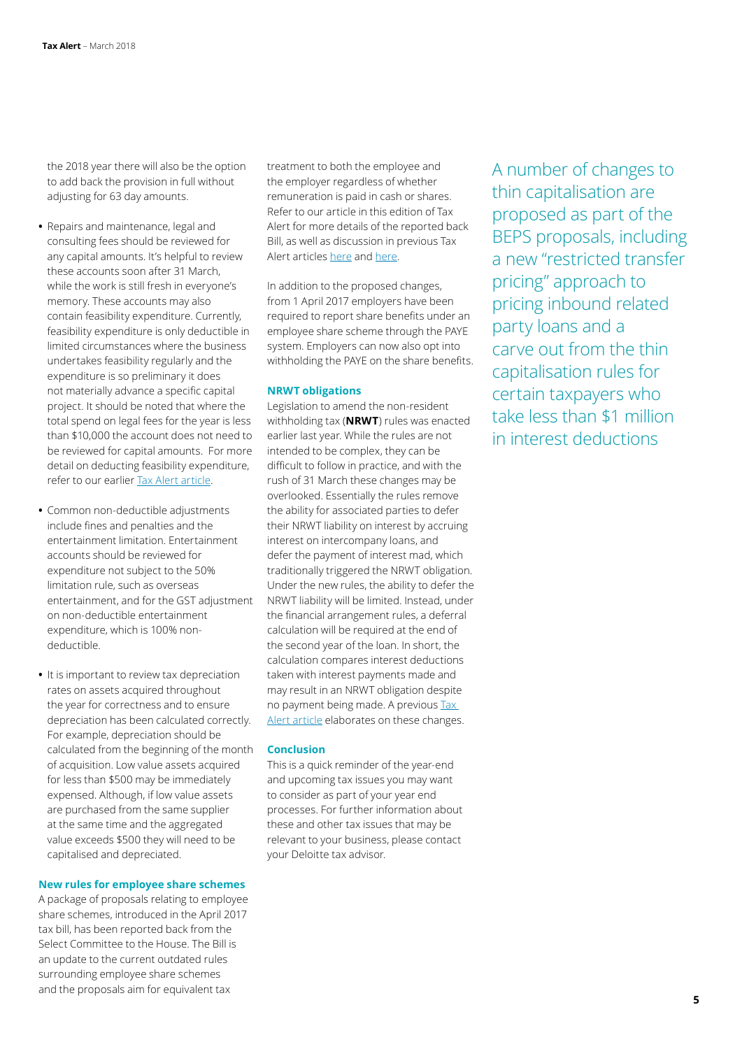the 2018 year there will also be the option to add back the provision in full without adjusting for 63 day amounts.

- **•** Repairs and maintenance, legal and consulting fees should be reviewed for any capital amounts. It's helpful to review these accounts soon after 31 March, while the work is still fresh in everyone's memory. These accounts may also contain feasibility expenditure. Currently, feasibility expenditure is only deductible in limited circumstances where the business undertakes feasibility regularly and the expenditure is so preliminary it does not materially advance a specific capital project. It should be noted that where the total spend on legal fees for the year is less than \$10,000 the account does not need to be reviewed for capital amounts. For more detail on deducting feasibility expenditure, refer to our earlier [Tax Alert article.](https://www2.deloitte.com/nz/en/pages/tax-alerts/articles/feasibility-expenditure-how-the-law-applies.html)
- **•** Common non-deductible adjustments include fines and penalties and the entertainment limitation. Entertainment accounts should be reviewed for expenditure not subject to the 50% limitation rule, such as overseas entertainment, and for the GST adjustment on non-deductible entertainment expenditure, which is 100% nondeductible.
- **•** It is important to review tax depreciation rates on assets acquired throughout the year for correctness and to ensure depreciation has been calculated correctly. For example, depreciation should be calculated from the beginning of the month of acquisition. Low value assets acquired for less than \$500 may be immediately expensed. Although, if low value assets are purchased from the same supplier at the same time and the aggregated value exceeds \$500 they will need to be capitalised and depreciated.

### **New rules for employee share schemes**

A package of proposals relating to employee share schemes, introduced in the April 2017 tax bill, has been reported back from the Select Committee to the House. The Bill is an update to the current outdated rules surrounding employee share schemes and the proposals aim for equivalent tax

treatment to both the employee and the employer regardless of whether remuneration is paid in cash or shares. Refer to our article in this edition of Tax Alert for more details of the reported back Bill, as well as discussion in previous Tax Alert articles [here](https://www2.deloitte.com/nz/en/pages/tax-alerts/articles/employee-share-schemes--time-to-revisit-loan-and-bonus-arrangements.html) and [here.](https://www2.deloitte.com/nz/en/pages/tax-alerts/articles/widely-held-share-schemes-proposed-changes-announced.html)

In addition to the proposed changes, from 1 April 2017 employers have been required to report share benefits under an employee share scheme through the PAYE system. Employers can now also opt into withholding the PAYE on the share benefits.

### **NRWT obligations**

Legislation to amend the non-resident withholding tax (**NRWT**) rules was enacted earlier last year. While the rules are not intended to be complex, they can be difficult to follow in practice, and with the rush of 31 March these changes may be overlooked. Essentially the rules remove the ability for associated parties to defer their NRWT liability on interest by accruing interest on intercompany loans, and defer the payment of interest mad, which traditionally triggered the NRWT obligation. Under the new rules, the ability to defer the NRWT liability will be limited. Instead, under the financial arrangement rules, a deferral calculation will be required at the end of the second year of the loan. In short, the calculation compares interest deductions taken with interest payments made and may result in an NRWT obligation despite no payment being made. A previous [Tax](https://www2.deloitte.com/nz/en/pages/tax-alerts/articles/reforms-for-non-resident-withholding-tax.html)  [Alert article](https://www2.deloitte.com/nz/en/pages/tax-alerts/articles/reforms-for-non-resident-withholding-tax.html) elaborates on these changes.

### **Conclusion**

This is a quick reminder of the year-end and upcoming tax issues you may want to consider as part of your year end processes. For further information about these and other tax issues that may be relevant to your business, please contact your Deloitte tax advisor.

A number of changes to thin capitalisation are proposed as part of the BEPS proposals, including a new "restricted transfer pricing" approach to pricing inbound related party loans and a carve out from the thin capitalisation rules for certain taxpayers who take less than \$1 million in interest deductions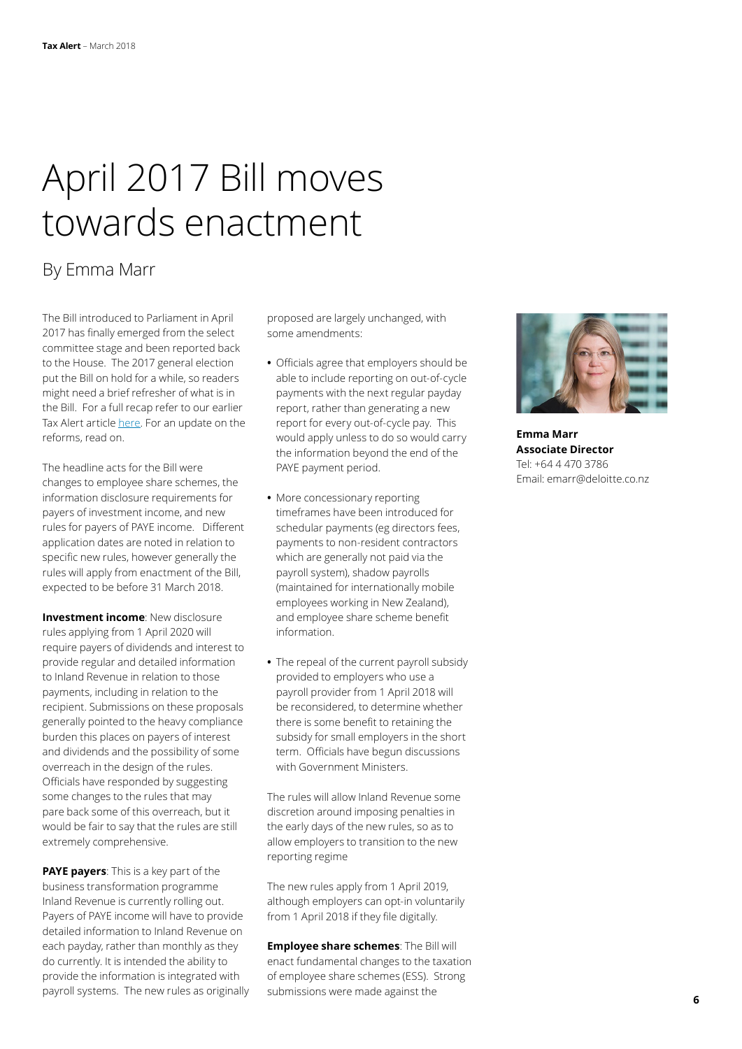## April 2017 Bill moves towards enactment

### By Emma Marr

The Bill introduced to Parliament in April 2017 has finally emerged from the select committee stage and been reported back to the House. The 2017 general election put the Bill on hold for a while, so readers might need a brief refresher of what is in the Bill. For a full recap refer to our earlier Tax Alert article [here.](https://www2.deloitte.com/nz/en/pages/tax-alerts/articles/business-transformation-steamrolls-on.html) For an update on the reforms, read on.

The headline acts for the Bill were changes to employee share schemes, the information disclosure requirements for payers of investment income, and new rules for payers of PAYE income. Different application dates are noted in relation to specific new rules, however generally the rules will apply from enactment of the Bill, expected to be before 31 March 2018.

**Investment income**: New disclosure rules applying from 1 April 2020 will require payers of dividends and interest to provide regular and detailed information to Inland Revenue in relation to those payments, including in relation to the recipient. Submissions on these proposals generally pointed to the heavy compliance burden this places on payers of interest and dividends and the possibility of some overreach in the design of the rules. Officials have responded by suggesting some changes to the rules that may pare back some of this overreach, but it would be fair to say that the rules are still extremely comprehensive.

**PAYE payers**: This is a key part of the business transformation programme Inland Revenue is currently rolling out. Payers of PAYE income will have to provide detailed information to Inland Revenue on each payday, rather than monthly as they do currently. It is intended the ability to provide the information is integrated with payroll systems. The new rules as originally proposed are largely unchanged, with some amendments:

- **•** Officials agree that employers should be able to include reporting on out-of-cycle payments with the next regular payday report, rather than generating a new report for every out-of-cycle pay. This would apply unless to do so would carry the information beyond the end of the PAYE payment period.
- **•** More concessionary reporting timeframes have been introduced for schedular payments (eg directors fees, payments to non-resident contractors which are generally not paid via the payroll system), shadow payrolls (maintained for internationally mobile employees working in New Zealand), and employee share scheme benefit information.
- **•** The repeal of the current payroll subsidy provided to employers who use a payroll provider from 1 April 2018 will be reconsidered, to determine whether there is some benefit to retaining the subsidy for small employers in the short term. Officials have begun discussions with Government Ministers.

The rules will allow Inland Revenue some discretion around imposing penalties in the early days of the new rules, so as to allow employers to transition to the new reporting regime

The new rules apply from 1 April 2019, although employers can opt-in voluntarily from 1 April 2018 if they file digitally.

**Employee share schemes**: The Bill will enact fundamental changes to the taxation of employee share schemes (ESS). Strong submissions were made against the



**Emma Marr Associate Director** Tel: +64 4 470 3786 Email: emarr@deloitte.co.nz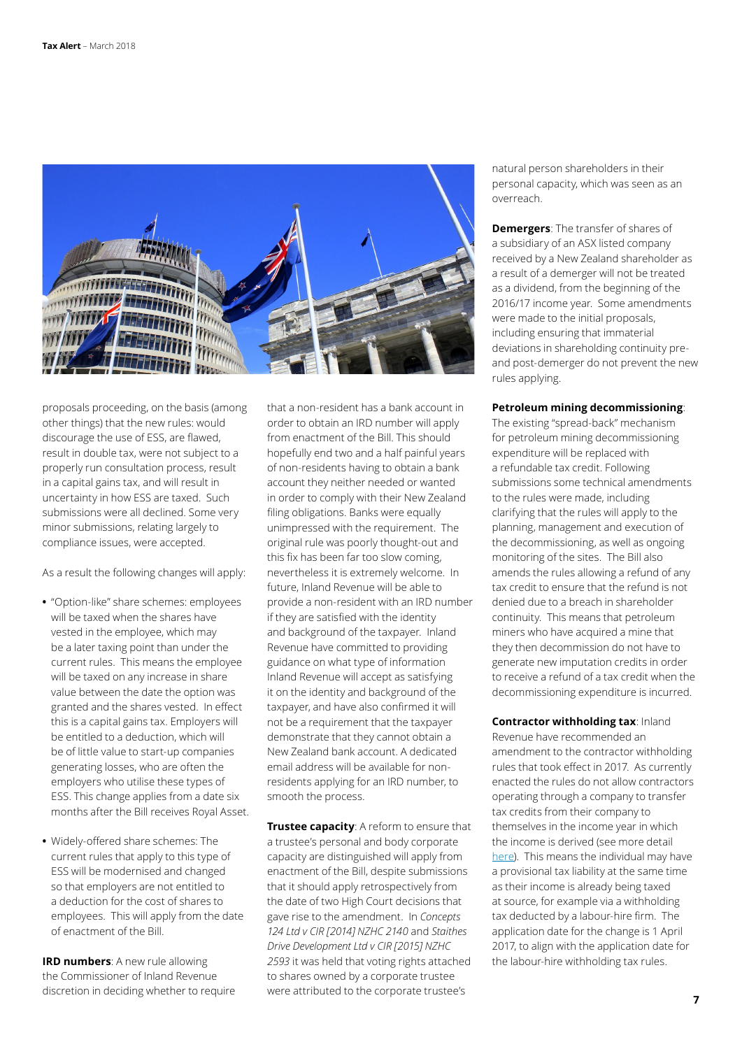

proposals proceeding, on the basis (among other things) that the new rules: would discourage the use of ESS, are flawed, result in double tax, were not subject to a properly run consultation process, result in a capital gains tax, and will result in uncertainty in how ESS are taxed. Such submissions were all declined. Some very minor submissions, relating largely to compliance issues, were accepted.

As a result the following changes will apply:

- **•** "Option-like" share schemes: employees will be taxed when the shares have vested in the employee, which may be a later taxing point than under the current rules. This means the employee will be taxed on any increase in share value between the date the option was granted and the shares vested. In effect this is a capital gains tax. Employers will be entitled to a deduction, which will be of little value to start-up companies generating losses, who are often the employers who utilise these types of ESS. This change applies from a date six months after the Bill receives Royal Asset.
- **•** Widely-offered share schemes: The current rules that apply to this type of ESS will be modernised and changed so that employers are not entitled to a deduction for the cost of shares to employees. This will apply from the date of enactment of the Bill.

**IRD numbers**: A new rule allowing the Commissioner of Inland Revenue discretion in deciding whether to require that a non-resident has a bank account in order to obtain an IRD number will apply from enactment of the Bill. This should hopefully end two and a half painful years of non-residents having to obtain a bank account they neither needed or wanted in order to comply with their New Zealand filing obligations. Banks were equally unimpressed with the requirement. The original rule was poorly thought-out and this fix has been far too slow coming, nevertheless it is extremely welcome. In future, Inland Revenue will be able to provide a non-resident with an IRD number if they are satisfied with the identity and background of the taxpayer. Inland Revenue have committed to providing guidance on what type of information Inland Revenue will accept as satisfying it on the identity and background of the taxpayer, and have also confirmed it will not be a requirement that the taxpayer demonstrate that they cannot obtain a New Zealand bank account. A dedicated email address will be available for nonresidents applying for an IRD number, to smooth the process.

**Trustee capacity**: A reform to ensure that a trustee's personal and body corporate capacity are distinguished will apply from enactment of the Bill, despite submissions that it should apply retrospectively from the date of two High Court decisions that gave rise to the amendment. In *Concepts 124 Ltd v CIR [2014] NZHC 2140* and *Staithes Drive Development Ltd v CIR [2015] NZHC 2593* it was held that voting rights attached to shares owned by a corporate trustee were attributed to the corporate trustee's

natural person shareholders in their personal capacity, which was seen as an overreach.

**Demergers**: The transfer of shares of a subsidiary of an ASX listed company received by a New Zealand shareholder as a result of a demerger will not be treated as a dividend, from the beginning of the 2016/17 income year. Some amendments were made to the initial proposals, including ensuring that immaterial deviations in shareholding continuity preand post-demerger do not prevent the new rules applying.

### **Petroleum mining decommissioning**:

The existing "spread-back" mechanism for petroleum mining decommissioning expenditure will be replaced with a refundable tax credit. Following submissions some technical amendments to the rules were made, including clarifying that the rules will apply to the planning, management and execution of the decommissioning, as well as ongoing monitoring of the sites. The Bill also amends the rules allowing a refund of any tax credit to ensure that the refund is not denied due to a breach in shareholder continuity. This means that petroleum miners who have acquired a mine that they then decommission do not have to generate new imputation credits in order to receive a refund of a tax credit when the decommissioning expenditure is incurred.

**Contractor withholding tax**: Inland Revenue have recommended an amendment to the contractor withholding rules that took effect in 2017. As currently enacted the rules do not allow contractors operating through a company to transfer tax credits from their company to themselves in the income year in which the income is derived (see more detail [here](https://www2.deloitte.com/nz/en/pages/tax-alerts/articles/new-withholding-tax-rules.html)). This means the individual may have a provisional tax liability at the same time as their income is already being taxed at source, for example via a withholding tax deducted by a labour-hire firm. The application date for the change is 1 April 2017, to align with the application date for the labour-hire withholding tax rules.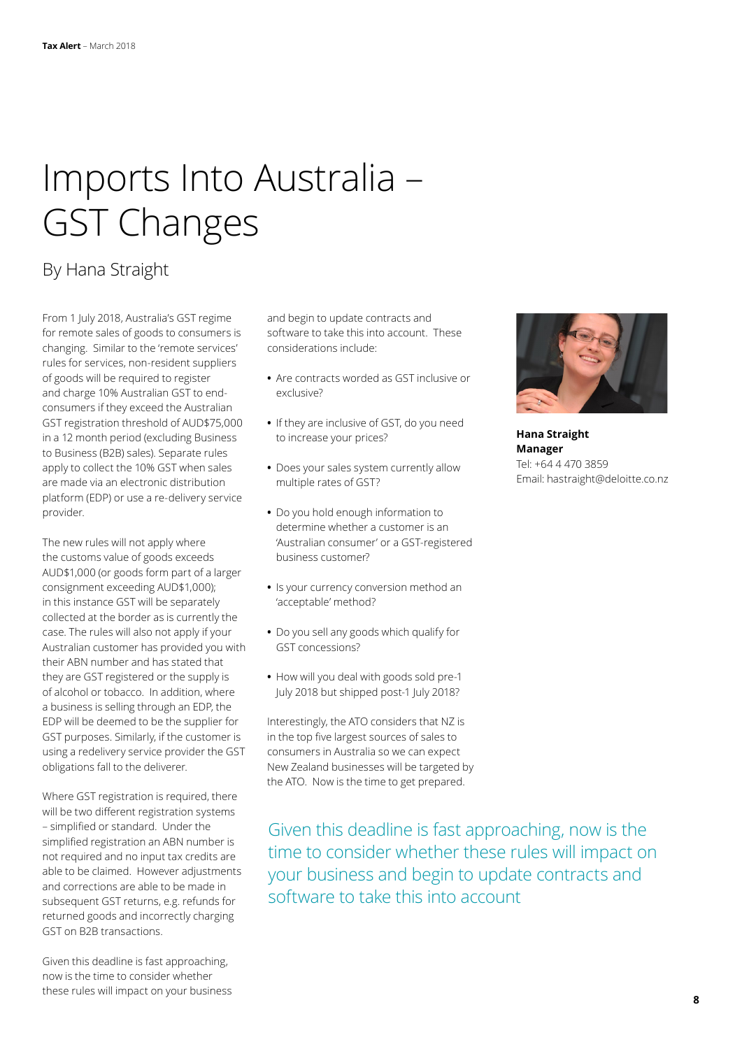## Imports Into Australia – GST Changes

### By Hana Straight

From 1 July 2018, Australia's GST regime for remote sales of goods to consumers is changing. Similar to the 'remote services' rules for services, non-resident suppliers of goods will be required to register and charge 10% Australian GST to endconsumers if they exceed the Australian GST registration threshold of AUD\$75,000 in a 12 month period (excluding Business to Business (B2B) sales). Separate rules apply to collect the 10% GST when sales are made via an electronic distribution platform (EDP) or use a re-delivery service provider.

The new rules will not apply where the customs value of goods exceeds AUD\$1,000 (or goods form part of a larger consignment exceeding AUD\$1,000); in this instance GST will be separately collected at the border as is currently the case. The rules will also not apply if your Australian customer has provided you with their ABN number and has stated that they are GST registered or the supply is of alcohol or tobacco. In addition, where a business is selling through an EDP, the EDP will be deemed to be the supplier for GST purposes. Similarly, if the customer is using a redelivery service provider the GST obligations fall to the deliverer.

Where GST registration is required, there will be two different registration systems – simplified or standard. Under the simplified registration an ABN number is not required and no input tax credits are able to be claimed. However adjustments and corrections are able to be made in subsequent GST returns, e.g. refunds for returned goods and incorrectly charging GST on B2B transactions.

Given this deadline is fast approaching, now is the time to consider whether these rules will impact on your business and begin to update contracts and software to take this into account. These considerations include:

- **•** Are contracts worded as GST inclusive or exclusive?
- **•** If they are inclusive of GST, do you need to increase your prices?
- **•** Does your sales system currently allow multiple rates of GST?
- **•** Do you hold enough information to determine whether a customer is an 'Australian consumer' or a GST-registered business customer?
- **•** Is your currency conversion method an 'acceptable' method?
- **•** Do you sell any goods which qualify for GST concessions?
- **•** How will you deal with goods sold pre-1 July 2018 but shipped post-1 July 2018?

Interestingly, the ATO considers that NZ is in the top five largest sources of sales to consumers in Australia so we can expect New Zealand businesses will be targeted by the ATO. Now is the time to get prepared.

Given this deadline is fast approaching, now is the time to consider whether these rules will impact on your business and begin to update contracts and software to take this into account



**Hana Straight Manager** Tel: +64 4 470 3859 Email: hastraight@deloitte.co.nz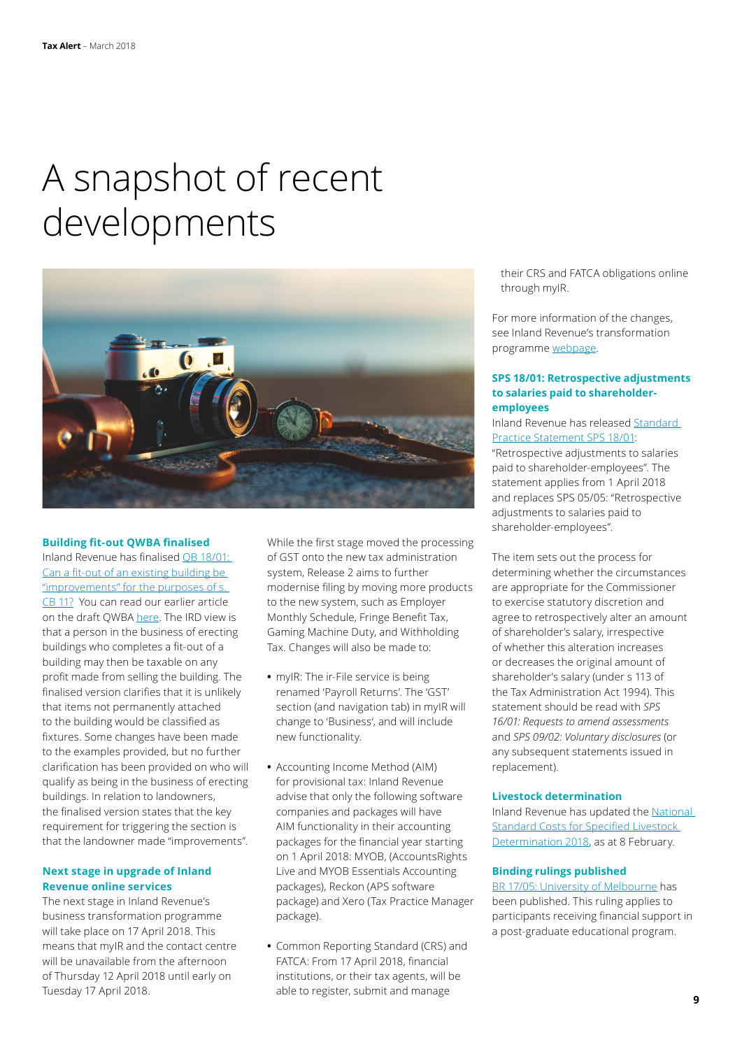## A snapshot of recent developments



#### **Building fit-out QWBA finalised**

Inland Revenue has finalised [QB 18/01:](http://www.ird.govt.nz/technical-tax/questions/questions-general/qwba-1801-fit-out-exist-bldg.html)  [Can a fit-out of an existing building be](http://www.ird.govt.nz/technical-tax/questions/questions-general/qwba-1801-fit-out-exist-bldg.html)  ["improvements" for the purposes of s.](http://www.ird.govt.nz/technical-tax/questions/questions-general/qwba-1801-fit-out-exist-bldg.html)  [CB 11?](http://www.ird.govt.nz/technical-tax/questions/questions-general/qwba-1801-fit-out-exist-bldg.html) You can read our earlier article on the draft QWBA [here.](https://www2.deloitte.com/nz/en/pages/tax-alerts/articles/when-does-new-building-fit-out-make-the-building-sale-taxable.html) The IRD view is that a person in the business of erecting buildings who completes a fit-out of a building may then be taxable on any profit made from selling the building. The finalised version clarifies that it is unlikely that items not permanently attached to the building would be classified as fixtures. Some changes have been made to the examples provided, but no further clarification has been provided on who will qualify as being in the business of erecting buildings. In relation to landowners, the finalised version states that the key requirement for triggering the section is that the landowner made "improvements".

### **Next stage in upgrade of Inland Revenue online services**

The next stage in Inland Revenue's business transformation programme will take place on 17 April 2018. This means that myIR and the contact centre will be unavailable from the afternoon of Thursday 12 April 2018 until early on Tuesday 17 April 2018.

While the first stage moved the processing of GST onto the new tax administration system, Release 2 aims to further modernise filing by moving more products to the new system, such as Employer Monthly Schedule, Fringe Benefit Tax, Gaming Machine Duty, and Withholding Tax. Changes will also be made to:

- **•** myIR: The ir-File service is being renamed 'Payroll Returns'. The 'GST' section (and navigation tab) in myIR will change to 'Business', and will include new functionality.
- **•** Accounting Income Method (AIM) for provisional tax: Inland Revenue advise that only the following software companies and packages will have AIM functionality in their accounting packages for the financial year starting on 1 April 2018: MYOB, (AccountsRights Live and MYOB Essentials Accounting packages), Reckon (APS software package) and Xero (Tax Practice Manager package).
- **•** Common Reporting Standard (CRS) and FATCA: From 17 April 2018, financial institutions, or their tax agents, will be able to register, submit and manage

their CRS and FATCA obligations online through myIR.

For more information of the changes, see Inland Revenue's transformation programme [webpage](http://www.ird.govt.nz/transformation/).

### **SPS 18/01: Retrospective adjustments to salaries paid to shareholderemployees**

Inland Revenue has released [Standard](http://www.ird.govt.nz/technical-tax/standard-practice/general/sps-1801-retro-adjust-salaries-paid.html)  [Practice Statement SPS 18/01](http://www.ird.govt.nz/technical-tax/standard-practice/general/sps-1801-retro-adjust-salaries-paid.html):

"Retrospective adjustments to salaries paid to shareholder-employees". The statement applies from 1 April 2018 and replaces SPS 05/05: "Retrospective adjustments to salaries paid to shareholder-employees".

The item sets out the process for determining whether the circumstances are appropriate for the Commissioner to exercise statutory discretion and agree to retrospectively alter an amount of shareholder's salary, irrespective of whether this alteration increases or decreases the original amount of shareholder's salary (under s 113 of the Tax Administration Act 1994). This statement should be read with *SPS 16/01: Requests to amend assessments* and *SPS 09/02: Voluntary disclosures* (or any subsequent statements issued in replacement).

### **Livestock determination**

Inland Revenue has updated the [National](http://www.ird.govt.nz/technical-tax/determinations/livestock/national-standard/livestock-nationalstandardvalues-2018.html)  [Standard Costs for Specified Livestock](http://www.ird.govt.nz/technical-tax/determinations/livestock/national-standard/livestock-nationalstandardvalues-2018.html)  [Determination 2018,](http://www.ird.govt.nz/technical-tax/determinations/livestock/national-standard/livestock-nationalstandardvalues-2018.html) as at 8 February.

### **Binding rulings published**

[BR 17/05: University of Melbourne](http://www.ird.govt.nz/resources/b/7/b7731484-228e-479c-90ee-c55a0fa2f7be/BR+Prd+1705.pdf) has been published. This ruling applies to participants receiving financial support in a post-graduate educational program.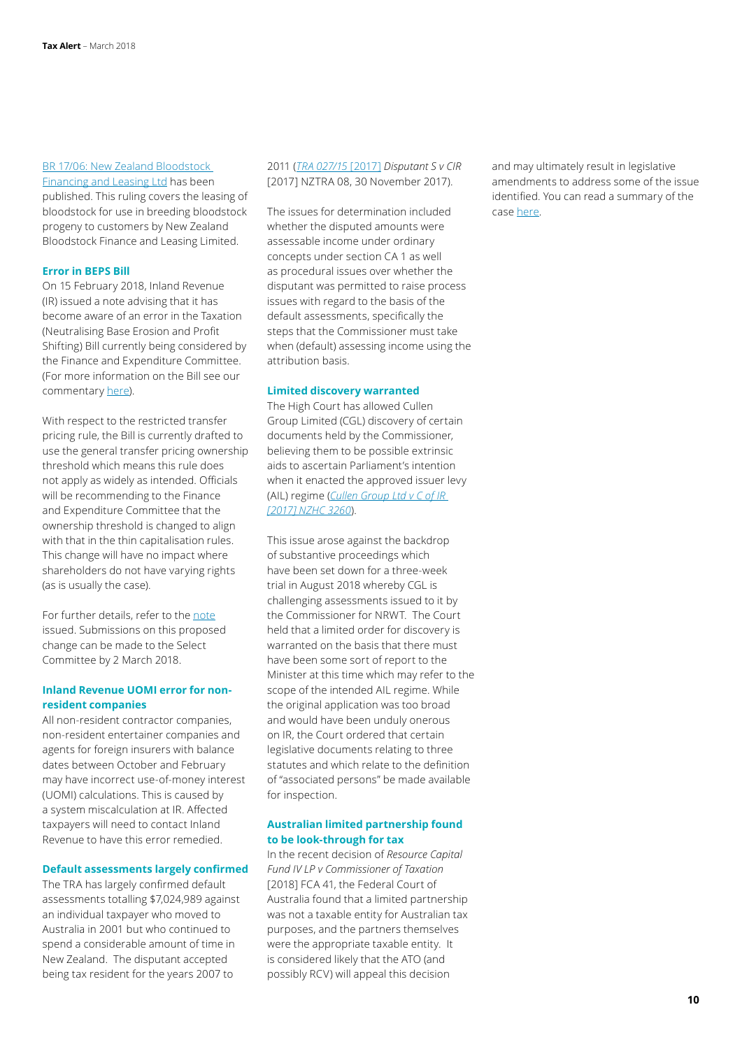### [BR 17/06: New Zealand Bloodstock](http://www.ird.govt.nz/resources/6/5/6593ea1d-2cec-4d0e-991e-97150fa61cd4/pd17-06.pdf)

[Financing and Leasing Ltd](http://www.ird.govt.nz/resources/6/5/6593ea1d-2cec-4d0e-991e-97150fa61cd4/pd17-06.pdf) has been published. This ruling covers the leasing of bloodstock for use in breeding bloodstock progeny to customers by New Zealand Bloodstock Finance and Leasing Limited.

### **Error in BEPS Bill**

On 15 February 2018, Inland Revenue (IR) issued a note advising that it has become aware of an error in the Taxation (Neutralising Base Erosion and Profit Shifting) Bill currently being considered by the Finance and Expenditure Committee. (For more information on the Bill see our commentary [here\)](https://www2.deloitte.com/nz/en/pages/tax-alerts/articles/beps-proposals-before-nz-parliament.html).

With respect to the restricted transfer pricing rule, the Bill is currently drafted to use the general transfer pricing ownership threshold which means this rule does not apply as widely as intended. Officials will be recommending to the Finance and Expenditure Committee that the ownership threshold is changed to align with that in the thin capitalisation rules. This change will have no impact where shareholders do not have varying rights (as is usually the case).

For further details, refer to the [note](http://taxpolicy.ird.govt.nz/publications/2018-other-note-nbeps-bill/overview) issued. Submissions on this proposed change can be made to the Select Committee by 2 March 2018.

### **Inland Revenue UOMI error for nonresident companies**

All non-resident contractor companies, non-resident entertainer companies and agents for foreign insurers with balance dates between October and February may have incorrect use-of-money interest (UOMI) calculations. This is caused by a system miscalculation at IR. Affected taxpayers will need to contact Inland Revenue to have this error remedied.

### **Default assessments largely confirmed**

The TRA has largely confirmed default assessments totalling \$7,024,989 against an individual taxpayer who moved to Australia in 2001 but who continued to spend a considerable amount of time in New Zealand. The disputant accepted being tax resident for the years 2007 to

2011 (*[TRA 027/15](http://www.nzlii.org/cgi-bin/sinodisp/nz/cases/NZTRA/2017/8.html?query=TRA%20027/15)* [2017] *Disputant S v CIR* [2017] NZTRA 08, 30 November 2017).

The issues for determination included whether the disputed amounts were assessable income under ordinary concepts under section CA 1 as well as procedural issues over whether the disputant was permitted to raise process issues with regard to the basis of the default assessments, specifically the steps that the Commissioner must take when (default) assessing income using the attribution basis.

### **Limited discovery warranted**

The High Court has allowed Cullen Group Limited (CGL) discovery of certain documents held by the Commissioner, believing them to be possible extrinsic aids to ascertain Parliament's intention when it enacted the approved issuer levy (AIL) regime (*[Cullen Group Ltd v C of IR](http://www.nzlii.org/nz/cases/NZHC/2017/3260.html)  [\[2017\] NZHC 3260](http://www.nzlii.org/nz/cases/NZHC/2017/3260.html)*).

This issue arose against the backdrop of substantive proceedings which have been set down for a three-week trial in August 2018 whereby CGL is challenging assessments issued to it by the Commissioner for NRWT. The Court held that a limited order for discovery is warranted on the basis that there must have been some sort of report to the Minister at this time which may refer to the scope of the intended AIL regime. While the original application was too broad and would have been unduly onerous on IR, the Court ordered that certain legislative documents relating to three statutes and which relate to the definition of "associated persons" be made available for inspection.

### **Australian limited partnership found to be look-through for tax**

In the recent decision of *Resource Capital Fund IV LP v Commissioner of Taxation* [2018] FCA 41, the Federal Court of Australia found that a limited partnership was not a taxable entity for Australian tax purposes, and the partners themselves were the appropriate taxable entity. It is considered likely that the ATO (and possibly RCV) will appeal this decision

and may ultimately result in legislative amendments to address some of the issue identified. You can read a summary of the case [here.](https://www.taxathand.com/article/9155/Australia/2018/Court-surprises-in-tax-analysis-of-private-equity-fund)